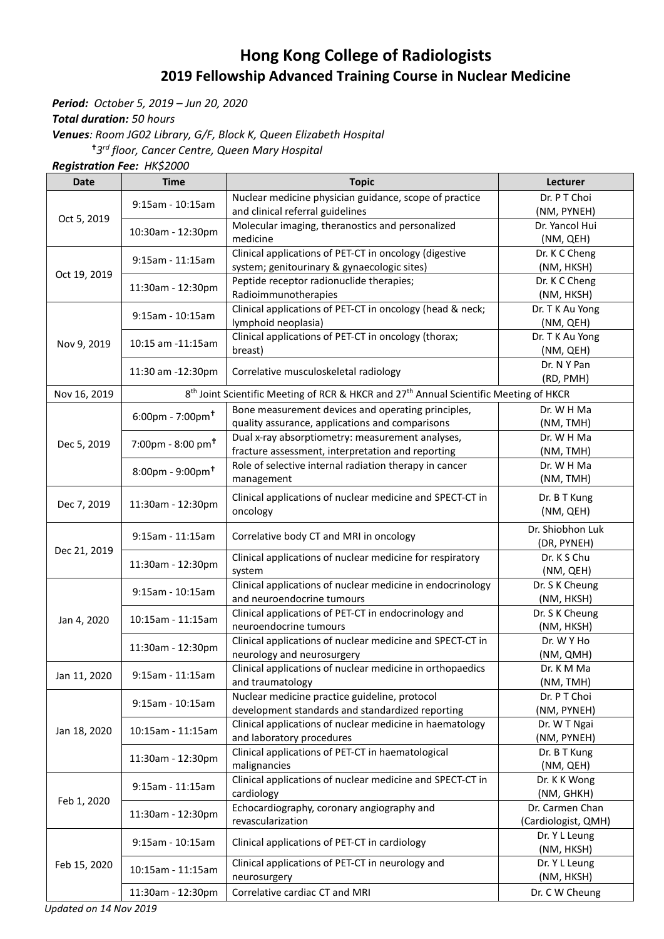## **Hong Kong College of Radiologists 2019 Fellowship Advanced Training Course in Nuclear Medicine**

*Period: October 5, 2019 – Jun 20, 2020*

*Total duration: 50 hours*

*Venues: Room JG02 Library, G/F, Block K, Queen Elizabeth Hospital*

*3 rd floor, Cancer Centre, Queen Mary Hospital* 

*Registration Fee: HK\$2000*

| <b>Date</b>  | <b>Time</b>                     | <b>Topic</b>                                                                                                  | Lecturer            |
|--------------|---------------------------------|---------------------------------------------------------------------------------------------------------------|---------------------|
| Oct 5, 2019  |                                 | Nuclear medicine physician guidance, scope of practice                                                        | Dr. P T Choi        |
|              | 9:15am - 10:15am                | and clinical referral guidelines                                                                              | (NM, PYNEH)         |
|              | 10:30am - 12:30pm               | Molecular imaging, theranostics and personalized                                                              | Dr. Yancol Hui      |
|              |                                 | medicine                                                                                                      | (NM, QEH)           |
|              |                                 | Clinical applications of PET-CT in oncology (digestive                                                        | Dr. K C Cheng       |
| Oct 19, 2019 | 9:15am - 11:15am                | system; genitourinary & gynaecologic sites)                                                                   | (NM, HKSH)          |
|              | 11:30am - 12:30pm               | Peptide receptor radionuclide therapies;                                                                      | Dr. K C Cheng       |
|              |                                 | Radioimmunotherapies                                                                                          | (NM, HKSH)          |
|              | 9:15am - 10:15am                | Clinical applications of PET-CT in oncology (head & neck;                                                     | Dr. T K Au Yong     |
| Nov 9, 2019  |                                 | lymphoid neoplasia)                                                                                           | (NM, QEH)           |
|              | 10:15 am -11:15am               | Clinical applications of PET-CT in oncology (thorax;                                                          | Dr. T K Au Yong     |
|              |                                 | breast)                                                                                                       | (NM, QEH)           |
|              | 11:30 am -12:30pm               | Correlative musculoskeletal radiology                                                                         | Dr. N Y Pan         |
|              |                                 |                                                                                                               | (RD, PMH)           |
| Nov 16, 2019 |                                 | 8 <sup>th</sup> Joint Scientific Meeting of RCR & HKCR and 27 <sup>th</sup> Annual Scientific Meeting of HKCR |                     |
|              | $6:00$ pm - 7:00pm <sup>+</sup> | Bone measurement devices and operating principles,                                                            | Dr. W H Ma          |
|              |                                 | quality assurance, applications and comparisons                                                               | (NM, TMH)           |
|              |                                 | Dual x-ray absorptiometry: measurement analyses,                                                              | Dr. W H Ma          |
| Dec 5, 2019  | 7:00pm - 8:00 pm <sup>+</sup>   | fracture assessment, interpretation and reporting                                                             | (NM, TMH)           |
|              |                                 | Role of selective internal radiation therapy in cancer                                                        | Dr. W H Ma          |
|              | $8:00$ pm - 9:00pm <sup>+</sup> | management                                                                                                    | (NM, TMH)           |
|              |                                 |                                                                                                               |                     |
| Dec 7, 2019  | 11:30am - 12:30pm               | Clinical applications of nuclear medicine and SPECT-CT in                                                     | Dr. B T Kung        |
|              |                                 | oncology                                                                                                      | (NM, QEH)           |
|              | 9:15am - 11:15am                | Correlative body CT and MRI in oncology                                                                       | Dr. Shiobhon Luk    |
|              |                                 |                                                                                                               | (DR, PYNEH)         |
| Dec 21, 2019 | 11:30am - 12:30pm               | Clinical applications of nuclear medicine for respiratory                                                     | Dr. K S Chu         |
|              |                                 | system                                                                                                        | (NM, QEH)           |
|              | 9:15am - 10:15am                | Clinical applications of nuclear medicine in endocrinology                                                    | Dr. S K Cheung      |
|              |                                 | and neuroendocrine tumours                                                                                    | (NM, HKSH)          |
| Jan 4, 2020  | 10:15am - 11:15am               | Clinical applications of PET-CT in endocrinology and                                                          | Dr. S K Cheung      |
|              |                                 | neuroendocrine tumours                                                                                        | (NM, HKSH)          |
|              | 11:30am - 12:30pm               | Clinical applications of nuclear medicine and SPECT-CT in                                                     | Dr. W Y Ho          |
|              |                                 | neurology and neurosurgery                                                                                    | (NM, QMH)           |
| Jan 11, 2020 | $9:15am - 11:15am$              | Clinical applications of nuclear medicine in orthopaedics                                                     | Dr. K M Ma          |
|              |                                 | and traumatology                                                                                              | (NM, TMH)           |
|              | 9:15am - 10:15am                | Nuclear medicine practice guideline, protocol                                                                 | Dr. P T Choi        |
|              |                                 | development standards and standardized reporting                                                              | (NM, PYNEH)         |
| Jan 18, 2020 | 10:15am - 11:15am               | Clinical applications of nuclear medicine in haematology                                                      | Dr. W T Ngai        |
|              |                                 | and laboratory procedures                                                                                     | (NM, PYNEH)         |
|              | 11:30am - 12:30pm               | Clinical applications of PET-CT in haematological                                                             | Dr. B T Kung        |
|              |                                 | malignancies                                                                                                  | (NM, QEH)           |
|              | $9:15am - 11:15am$              | Clinical applications of nuclear medicine and SPECT-CT in                                                     | Dr. K K Wong        |
| Feb 1, 2020  |                                 | cardiology                                                                                                    | (NM, GHKH)          |
|              | 11:30am - 12:30pm               | Echocardiography, coronary angiography and                                                                    | Dr. Carmen Chan     |
|              |                                 | revascularization                                                                                             | (Cardiologist, QMH) |
| Feb 15, 2020 | 9:15am - 10:15am                | Clinical applications of PET-CT in cardiology                                                                 | Dr. Y L Leung       |
|              |                                 |                                                                                                               | (NM, HKSH)          |
|              | 10:15am - 11:15am               | Clinical applications of PET-CT in neurology and                                                              | Dr. Y L Leung       |
|              |                                 | neurosurgery                                                                                                  | (NM, HKSH)          |
|              | 11:30am - 12:30pm               | Correlative cardiac CT and MRI                                                                                | Dr. C W Cheung      |

*Updated on 14 Nov 2019*